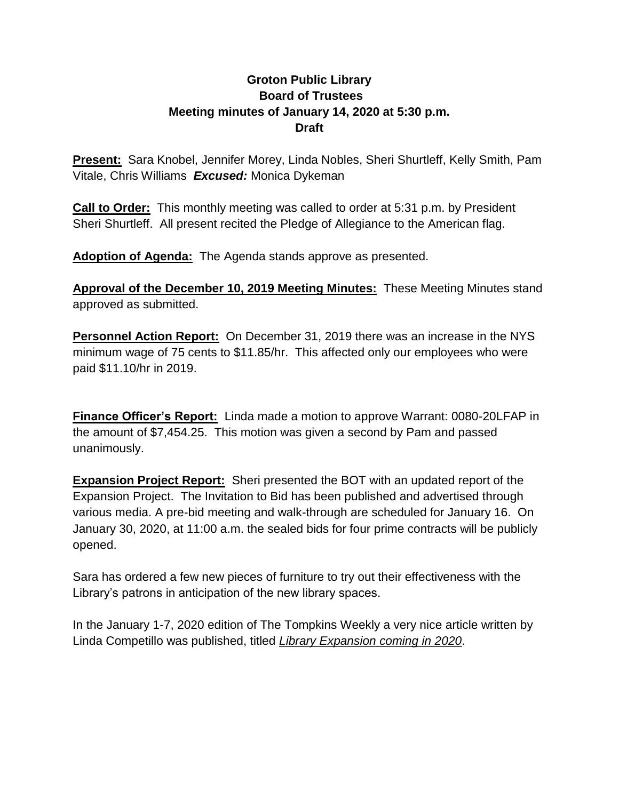## **Groton Public Library Board of Trustees Meeting minutes of January 14, 2020 at 5:30 p.m. Draft**

**Present:** Sara Knobel, Jennifer Morey, Linda Nobles, Sheri Shurtleff, Kelly Smith, Pam Vitale, Chris Williams *Excused:* Monica Dykeman

**Call to Order:** This monthly meeting was called to order at 5:31 p.m. by President Sheri Shurtleff. All present recited the Pledge of Allegiance to the American flag.

**Adoption of Agenda:** The Agenda stands approve as presented.

**Approval of the December 10, 2019 Meeting Minutes:** These Meeting Minutes stand approved as submitted.

**Personnel Action Report:** On December 31, 2019 there was an increase in the NYS minimum wage of 75 cents to \$11.85/hr. This affected only our employees who were paid \$11.10/hr in 2019.

**Finance Officer's Report:** Linda made a motion to approve Warrant: 0080-20LFAP in the amount of \$7,454.25. This motion was given a second by Pam and passed unanimously.

**Expansion Project Report:** Sheri presented the BOT with an updated report of the Expansion Project. The Invitation to Bid has been published and advertised through various media. A pre-bid meeting and walk-through are scheduled for January 16. On January 30, 2020, at 11:00 a.m. the sealed bids for four prime contracts will be publicly opened.

Sara has ordered a few new pieces of furniture to try out their effectiveness with the Library's patrons in anticipation of the new library spaces.

In the January 1-7, 2020 edition of The Tompkins Weekly a very nice article written by Linda Competillo was published, titled *Library Expansion coming in 2020*.